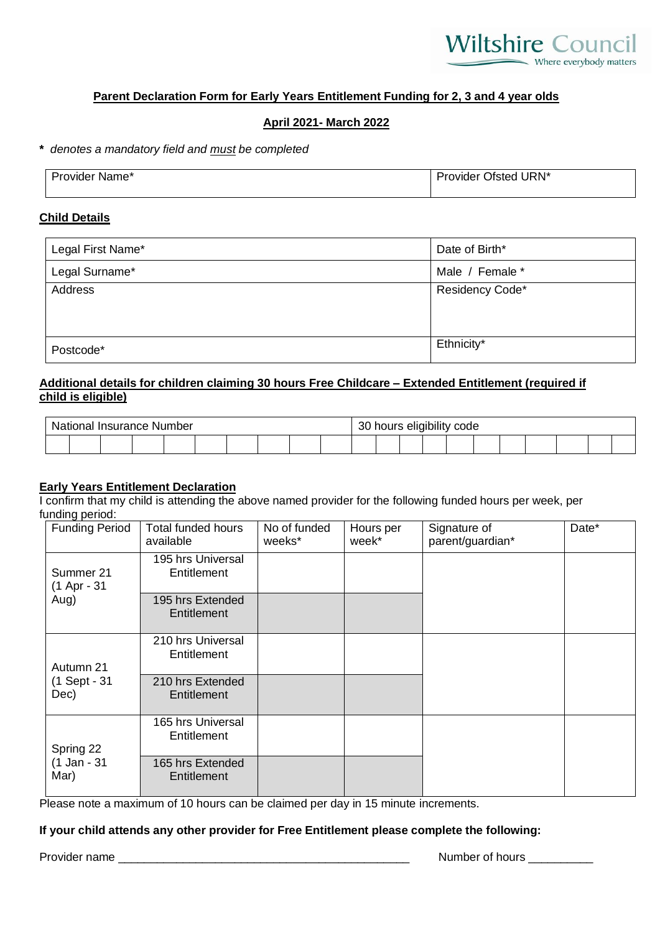

# **Parent Declaration Form for Early Years Entitlement Funding for 2, 3 and 4 year olds**

# **April 2021- March 2022**

**\*** *denotes a mandatory field and must be completed*

| <b>Provider Name*</b> | URN*<br>Provider Ofsted |
|-----------------------|-------------------------|
|                       |                         |

#### **Child Details**

| Legal First Name* | Date of Birth*  |  |  |  |  |
|-------------------|-----------------|--|--|--|--|
| Legal Surname*    | Male / Female * |  |  |  |  |
| Address           | Residency Code* |  |  |  |  |
|                   |                 |  |  |  |  |
|                   |                 |  |  |  |  |
| Postcode*         | Ethnicity*      |  |  |  |  |

# **Additional details for children claiming 30 hours Free Childcare – Extended Entitlement (required if child is eligible)**

| <b>National Insurance Number</b> |  |  |  |  |  | 30 hours eligibility code |  |  |  |  |  |  |  |  |  |  |  |  |  |  |
|----------------------------------|--|--|--|--|--|---------------------------|--|--|--|--|--|--|--|--|--|--|--|--|--|--|
|                                  |  |  |  |  |  |                           |  |  |  |  |  |  |  |  |  |  |  |  |  |  |

### **Early Years Entitlement Declaration**

I confirm that my child is attending the above named provider for the following funded hours per week, per funding period:

| <b>Funding Period</b>    | <b>Total funded hours</b><br>available | No of funded<br>weeks* | Hours per<br>week* | Signature of<br>parent/guardian* | Date* |
|--------------------------|----------------------------------------|------------------------|--------------------|----------------------------------|-------|
| Summer 21<br>(1 Apr - 31 | 195 hrs Universal<br>Entitlement       |                        |                    |                                  |       |
| Aug)                     | 195 hrs Extended<br>Entitlement        |                        |                    |                                  |       |
| Autumn 21                | 210 hrs Universal<br>Entitlement       |                        |                    |                                  |       |
| (1 Sept - 31<br>Dec)     | 210 hrs Extended<br>Entitlement        |                        |                    |                                  |       |
| Spring 22                | 165 hrs Universal<br>Entitlement       |                        |                    |                                  |       |
| (1 Jan - 31<br>Mar)      | 165 hrs Extended<br>Entitlement        |                        |                    |                                  |       |

Please note a maximum of 10 hours can be claimed per day in 15 minute increments.

# **If your child attends any other provider for Free Entitlement please complete the following:**

Provider name \_\_\_\_\_\_\_\_\_\_\_\_\_\_\_\_\_\_\_\_\_\_\_\_\_\_\_\_\_\_\_\_\_\_\_\_\_\_\_\_\_\_\_\_\_ Number of hours \_\_\_\_\_\_\_\_\_\_